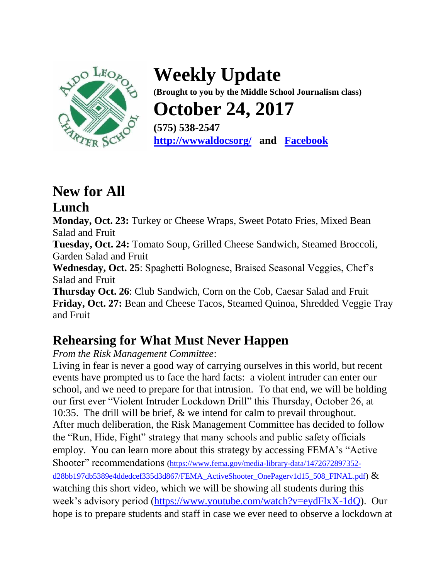

**Weekly Update (Brought to you by the Middle School Journalism class) October 24, 2017 (575) 538-2547 [http://wwwaldocsorg/](http://www.aldocs.org/) and [Facebook](https://www.facebook.com/search/top/?q=aldo%20leopold%20charter%20school)**

# **New for All**

### **Lunch**

**Monday, Oct. 23:** Turkey or Cheese Wraps, Sweet Potato Fries, Mixed Bean Salad and Fruit

**Tuesday, Oct. 24:** Tomato Soup, Grilled Cheese Sandwich, Steamed Broccoli, Garden Salad and Fruit

**Wednesday, Oct. 25**: Spaghetti Bolognese, Braised Seasonal Veggies, Chef's Salad and Fruit

**Thursday Oct. 26**: Club Sandwich, Corn on the Cob, Caesar Salad and Fruit **Friday, Oct. 27:** Bean and Cheese Tacos, Steamed Quinoa, Shredded Veggie Tray and Fruit

### **Rehearsing for What Must Never Happen**

#### *From the Risk Management Committee*:

Living in fear is never a good way of carrying ourselves in this world, but recent events have prompted us to face the hard facts: a violent intruder can enter our school, and we need to prepare for that intrusion. To that end, we will be holding our first ever "Violent Intruder Lockdown Drill" this Thursday, October 26, at 10:35. The drill will be brief, & we intend for calm to prevail throughout. After much deliberation, the Risk Management Committee has decided to follow the "Run, Hide, Fight" strategy that many schools and public safety officials employ. You can learn more about this strategy by accessing FEMA's "Active Shooter" recommendations [\(https://www.fema.gov/media-library-data/1472672897352](https://www.fema.gov/media-library-data/1472672897352-d28bb197db5389e4ddedcef335d3d867/FEMA_ActiveShooter_OnePagerv1d15_508_FINAL.pdf) [d28bb197db5389e4ddedcef335d3d867/FEMA\\_ActiveShooter\\_OnePagerv1d15\\_508\\_FINAL.pdf\)](https://www.fema.gov/media-library-data/1472672897352-d28bb197db5389e4ddedcef335d3d867/FEMA_ActiveShooter_OnePagerv1d15_508_FINAL.pdf) & watching this short video, which we will be showing all students during this week's advisory period [\(https://www.youtube.com/watch?v=eydFlxX-1dQ\)](https://www.youtube.com/watch?v=eydFlxX-1dQ). Our hope is to prepare students and staff in case we ever need to observe a lockdown at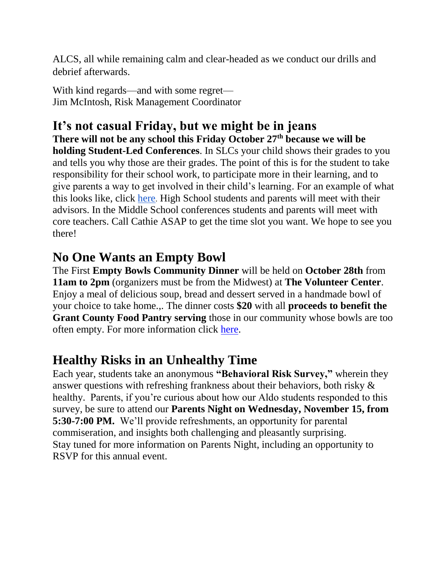ALCS, all while remaining calm and clear-headed as we conduct our drills and debrief afterwards.

With kind regards—and with some regret— Jim McIntosh, Risk Management Coordinator

### **It's not casual Friday, but we might be in jeans**

**There will not be any school this Friday October 27th because we will be holding Student-Led Conferences**. In SLCs your child shows their grades to you and tells you why those are their grades. The point of this is for the student to take responsibility for their school work, to participate more in their learning, and to give parents a way to get involved in their child's learning. For an example of what this looks like, click [here](https://www.youtube.com/watch?v=L_WBSInDc2E). High School students and parents will meet with their advisors. In the Middle School conferences students and parents will meet with core teachers. Call Cathie ASAP to get the time slot you want. We hope to see you there!

### **No One Wants an Empty Bowl**

The First **Empty Bowls Community Dinner** will be held on **October 28th** from **11am to 2pm** (organizers must be from the Midwest) at **The Volunteer Center**. Enjoy a meal of delicious soup, bread and dessert served in a handmade bowl of your choice to take home.,. The dinner costs **\$20** with all **proceeds to benefit the Grant County Food Pantry serving** those in our community whose bowls are too often empty. For more information click [here.](http://www.tvcgrantcounty.org/upcoming-events/)

### **Healthy Risks in an Unhealthy Time**

Each year, students take an anonymous **"Behavioral Risk Survey,"** wherein they answer questions with refreshing frankness about their behaviors, both risky & healthy. Parents, if you're curious about how our Aldo students responded to this survey, be sure to attend our **Parents Night on Wednesday, November 15, from 5:30-7:00 PM.** We'll provide refreshments, an opportunity for parental commiseration, and insights both challenging and pleasantly surprising. Stay tuned for more information on Parents Night, including an opportunity to RSVP for this annual event.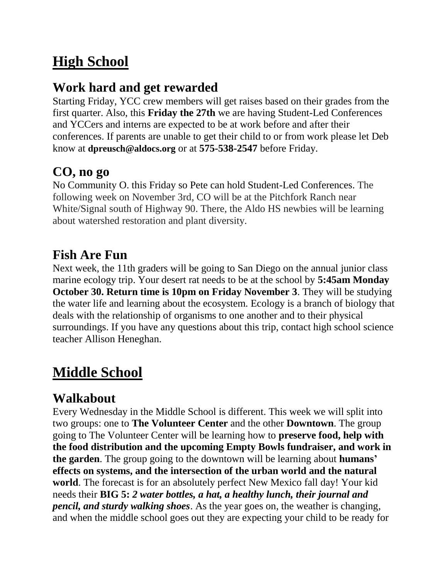### **High School**

### **Work hard and get rewarded**

Starting Friday, YCC crew members will get raises based on their grades from the first quarter. Also, this **Friday the 27th** we are having Student-Led Conferences and YCCers and interns are expected to be at work before and after their conferences. If parents are unable to get their child to or from work please let Deb know at **dpreusch@aldocs.org** or at **575-538-2547** before Friday.

### **CO, no go**

No Community O. this Friday so Pete can hold Student-Led Conferences. The following week on November 3rd, CO will be at the Pitchfork Ranch near White/Signal south of Highway 90. There, the Aldo HS newbies will be learning about watershed restoration and plant diversity.

### **Fish Are Fun**

Next week, the 11th graders will be going to San Diego on the annual junior class marine ecology trip. Your desert rat needs to be at the school by **5:45am Monday October 30. Return time is 10pm on Friday November 3**. They will be studying the water life and learning about the ecosystem. Ecology is a branch of biology that deals with the relationship of organisms to one another and to their physical surroundings. If you have any questions about this trip, contact high school science teacher Allison Heneghan.

## **Middle School**

### **Walkabout**

Every Wednesday in the Middle School is different. This week we will split into two groups: one to **The Volunteer Center** and the other **Downtown**. The group going to The Volunteer Center will be learning how to **preserve food, help with the food distribution and the upcoming Empty Bowls fundraiser, and work in the garden**. The group going to the downtown will be learning about **humans' effects on systems, and the intersection of the urban world and the natural world**. The forecast is for an absolutely perfect New Mexico fall day! Your kid needs their **BIG 5:** *2 water bottles, a hat, a healthy lunch, their journal and pencil, and sturdy walking shoes*. As the year goes on, the weather is changing, and when the middle school goes out they are expecting your child to be ready for